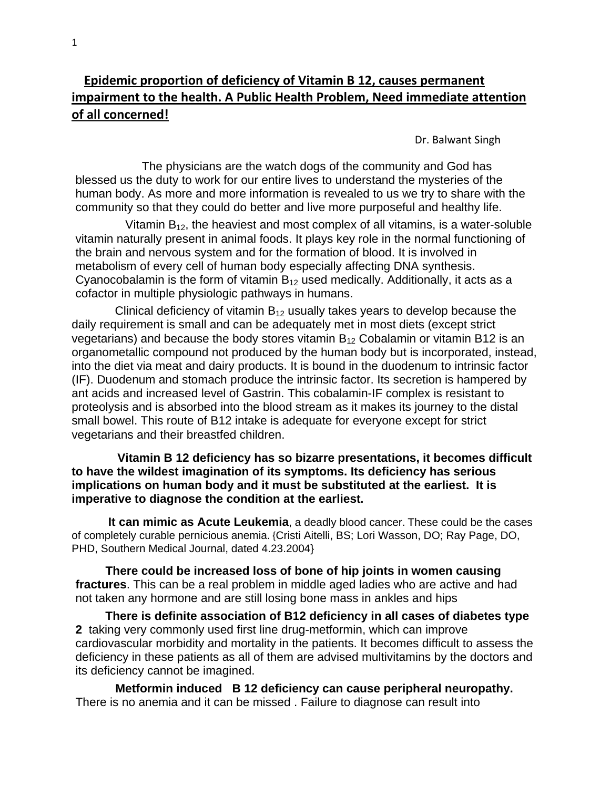## **Epidemic proportion of deficiency of Vitamin B 12, causes permanent impairment to the health. A Public Health Problem, Need immediate attention of all concerned!**

Dr. Balwant Singh

 The physicians are the watch dogs of the community and God has blessed us the duty to work for our entire lives to understand the mysteries of the human body. As more and more information is revealed to us we try to share with the community so that they could do better and live more purposeful and healthy life.

Vitamin  $B_{12}$ , the heaviest and most complex of all vitamins, is a water-soluble vitamin naturally present in animal foods. It plays key role in the normal functioning of the brain and nervous system and for the formation of blood. It is involved in metabolism of every cell of human body especially affecting DNA synthesis. Cyanocobalamin is the form of vitamin  $B_{12}$  used medically. Additionally, it acts as a cofactor in multiple physiologic pathways in humans.

Clinical deficiency of vitamin  $B_{12}$  usually takes years to develop because the daily requirement is small and can be adequately met in most diets (except strict vegetarians) and because the body stores vitamin  $B_{12}$  Cobalamin or vitamin B12 is an organometallic compound not produced by the human body but is incorporated, instead, into the diet via meat and dairy products. It is bound in the duodenum to intrinsic factor (IF). Duodenum and stomach produce the intrinsic factor. Its secretion is hampered by ant acids and increased level of Gastrin. This cobalamin-IF complex is resistant to proteolysis and is absorbed into the blood stream as it makes its journey to the distal small bowel. This route of B12 intake is adequate for everyone except for strict vegetarians and their breastfed children.

 **Vitamin B 12 deficiency has so bizarre presentations, it becomes difficult to have the wildest imagination of its symptoms. Its deficiency has serious implications on human body and it must be substituted at the earliest. It is imperative to diagnose the condition at the earliest.** 

 **It can mimic as Acute Leukemia**, a deadly blood cancer. These could be the cases of completely curable pernicious anemia. {Cristi Aitelli, BS; Lori Wasson, DO; Ray Page, DO, PHD, Southern Medical Journal, dated 4.23.2004}

 **There could be increased loss of bone of hip joints in women causing fractures**. This can be a real problem in middle aged ladies who are active and had not taken any hormone and are still losing bone mass in ankles and hips

 **There is definite association of B12 deficiency in all cases of diabetes type 2** taking very commonly used first line drug-metformin, which can improve cardiovascular morbidity and mortality in the patients. It becomes difficult to assess the deficiency in these patients as all of them are advised multivitamins by the doctors and its deficiency cannot be imagined.

 **Metformin induced B 12 deficiency can cause peripheral neuropathy.**  There is no anemia and it can be missed . Failure to diagnose can result into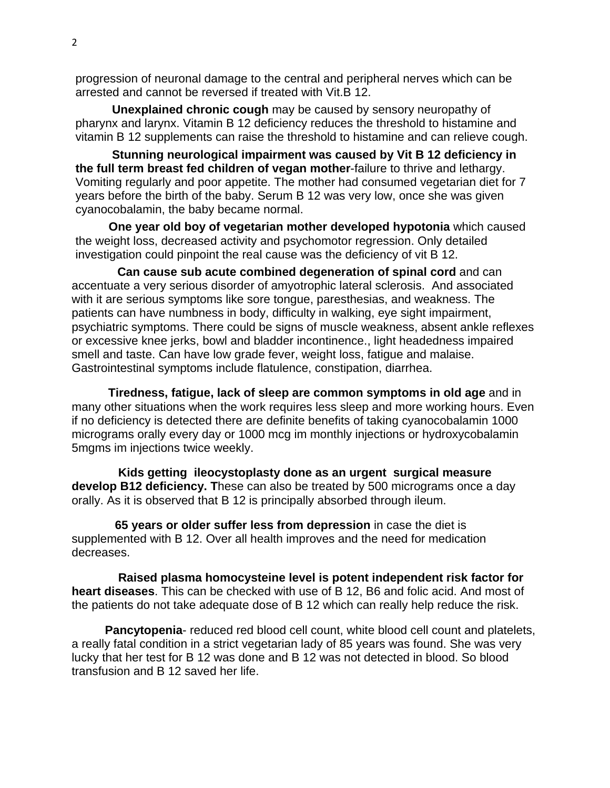progression of neuronal damage to the central and peripheral nerves which can be arrested and cannot be reversed if treated with Vit.B 12.

 **Unexplained chronic cough** may be caused by sensory neuropathy of pharynx and larynx. Vitamin B 12 deficiency reduces the threshold to histamine and vitamin B 12 supplements can raise the threshold to histamine and can relieve cough.

 **Stunning neurological impairment was caused by Vit B 12 deficiency in the full term breast fed children of vegan mother**-failure to thrive and lethargy. Vomiting regularly and poor appetite. The mother had consumed vegetarian diet for 7 years before the birth of the baby. Serum B 12 was very low, once she was given cyanocobalamin, the baby became normal.

 **One year old boy of vegetarian mother developed hypotonia** which caused the weight loss, decreased activity and psychomotor regression. Only detailed investigation could pinpoint the real cause was the deficiency of vit B 12.

 **Can cause sub acute combined degeneration of spinal cord** and can accentuate a very serious disorder of amyotrophic lateral sclerosis. And associated with it are serious symptoms like sore tongue, paresthesias, and weakness. The patients can have numbness in body, difficulty in walking, eye sight impairment, psychiatric symptoms. There could be signs of muscle weakness, absent ankle reflexes or excessive knee jerks, bowl and bladder incontinence., light headedness impaired smell and taste. Can have low grade fever, weight loss, fatigue and malaise. Gastrointestinal symptoms include flatulence, constipation, diarrhea.

 **Tiredness, fatigue, lack of sleep are common symptoms in old age** and in many other situations when the work requires less sleep and more working hours. Even if no deficiency is detected there are definite benefits of taking cyanocobalamin 1000 micrograms orally every day or 1000 mcg im monthly injections or hydroxycobalamin 5mgms im injections twice weekly.

 **Kids getting ileocystoplasty done as an urgent surgical measure develop B12 deficiency. T**hese can also be treated by 500 micrograms once a day orally. As it is observed that B 12 is principally absorbed through ileum.

 **65 years or older suffer less from depression** in case the diet is supplemented with B 12. Over all health improves and the need for medication decreases.

 **Raised plasma homocysteine level is potent independent risk factor for heart diseases**. This can be checked with use of B 12, B6 and folic acid. And most of the patients do not take adequate dose of B 12 which can really help reduce the risk.

 **Pancytopenia**- reduced red blood cell count, white blood cell count and platelets, a really fatal condition in a strict vegetarian lady of 85 years was found. She was very lucky that her test for B 12 was done and B 12 was not detected in blood. So blood transfusion and B 12 saved her life.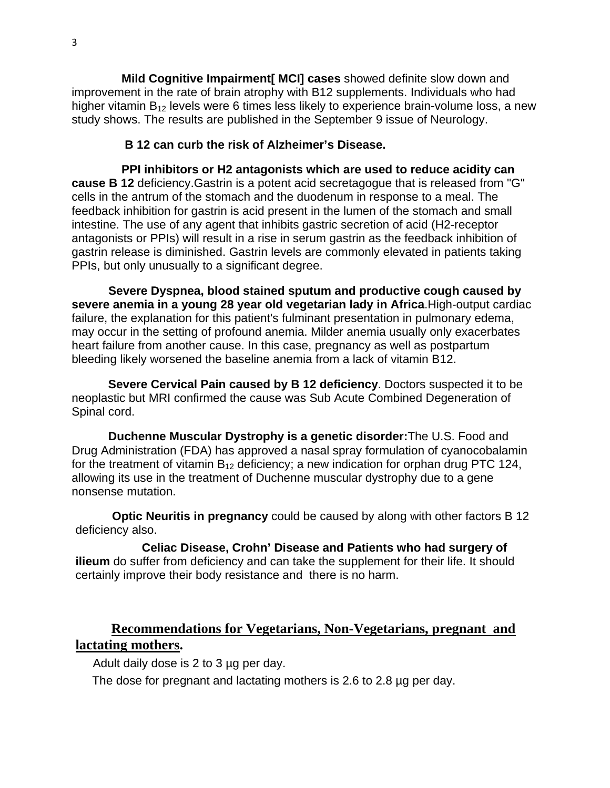**Mild Cognitive Impairment[ MCI] cases** showed definite slow down and improvement in the rate of brain atrophy with B12 supplements. Individuals who had higher vitamin  $B_{12}$  levels were 6 times less likely to experience brain-volume loss, a new study shows. The results are published in the September 9 issue of Neurology.

## **B 12 can curb the risk of Alzheimer's Disease.**

 **PPI inhibitors or H2 antagonists which are used to reduce acidity can cause B 12** deficiency.Gastrin is a potent acid secretagogue that is released from "G" cells in the antrum of the stomach and the duodenum in response to a meal. The feedback inhibition for gastrin is acid present in the lumen of the stomach and small intestine. The use of any agent that inhibits gastric secretion of acid (H2-receptor antagonists or PPIs) will result in a rise in serum gastrin as the feedback inhibition of gastrin release is diminished. Gastrin levels are commonly elevated in patients taking PPIs, but only unusually to a significant degree.

 **Severe Dyspnea, blood stained sputum and productive cough caused by severe anemia in a young 28 year old vegetarian lady in Africa**.High-output cardiac failure, the explanation for this patient's fulminant presentation in pulmonary edema, may occur in the setting of profound anemia. Milder anemia usually only exacerbates heart failure from another cause. In this case, pregnancy as well as postpartum bleeding likely worsened the baseline anemia from a lack of vitamin B12.

 **Severe Cervical Pain caused by B 12 deficiency**. Doctors suspected it to be neoplastic but MRI confirmed the cause was Sub Acute Combined Degeneration of Spinal cord.

 **Duchenne Muscular Dystrophy is a genetic disorder:**The U.S. Food and Drug Administration (FDA) has approved a nasal spray formulation of cyanocobalamin for the treatment of vitamin  $B_{12}$  deficiency; a new indication for orphan drug PTC 124, allowing its use in the treatment of Duchenne muscular dystrophy due to a gene nonsense mutation.

 **Optic Neuritis in pregnancy** could be caused by along with other factors B 12 deficiency also.

 **Celiac Disease, Crohn' Disease and Patients who had surgery of ilieum** do suffer from deficiency and can take the supplement for their life. It should certainly improve their body resistance and there is no harm.

## **Recommendations for Vegetarians, Non-Vegetarians, pregnant and lactating mothers.**

Adult daily dose is 2 to 3 µg per day.

The dose for pregnant and lactating mothers is 2.6 to 2.8 µg per day.